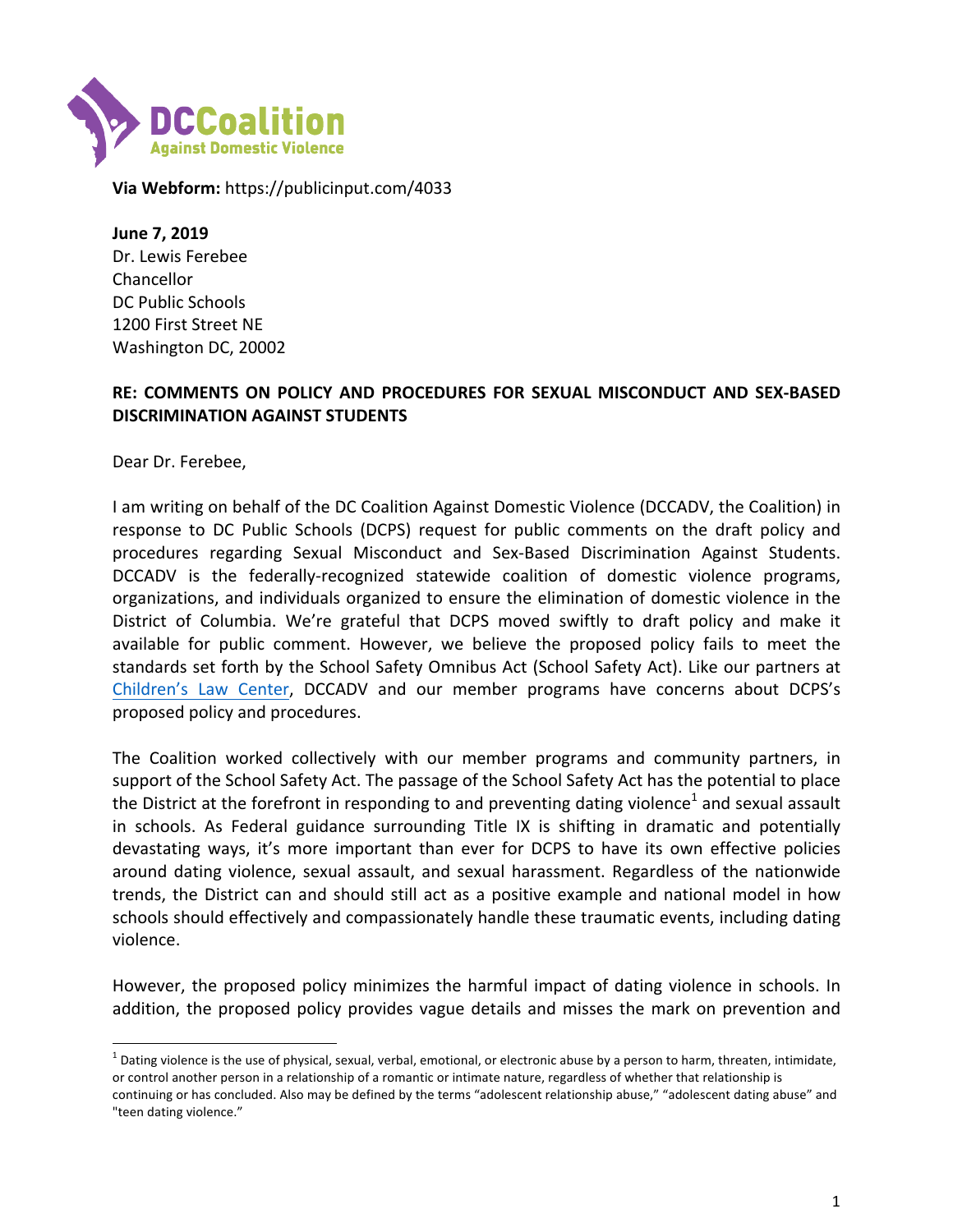

**Via Webform:** https://publicinput.com/4033

**June 7, 2019** Dr. Lewis Ferebee Chancellor DC Public Schools 1200 First Street NE Washington DC, 20002

## **RE: COMMENTS ON POLICY AND PROCEDURES FOR SEXUAL MISCONDUCT AND SEX-BASED DISCRIMINATION AGAINST STUDENTS**

Dear Dr. Ferebee,

I am writing on behalf of the DC Coalition Against Domestic Violence (DCCADV, the Coalition) in response to DC Public Schools (DCPS) request for public comments on the draft policy and procedures regarding Sexual Misconduct and Sex-Based Discrimination Against Students. DCCADV is the federally-recognized statewide coalition of domestic violence programs, organizations, and individuals organized to ensure the elimination of domestic violence in the District of Columbia. We're grateful that DCPS moved swiftly to draft policy and make it available for public comment. However, we believe the proposed policy fails to meet the standards set forth by the School Safety Omnibus Act (School Safety Act). Like our partners at Children's Law Center, DCCADV and our member programs have concerns about DCPS's proposed policy and procedures.

The Coalition worked collectively with our member programs and community partners, in support of the School Safety Act. The passage of the School Safety Act has the potential to place the District at the forefront in responding to and preventing dating violence<sup>1</sup> and sexual assault in schools. As Federal guidance surrounding Title IX is shifting in dramatic and potentially devastating ways, it's more important than ever for DCPS to have its own effective policies around dating violence, sexual assault, and sexual harassment. Regardless of the nationwide trends, the District can and should still act as a positive example and national model in how schools should effectively and compassionately handle these traumatic events, including dating violence. 

However, the proposed policy minimizes the harmful impact of dating violence in schools. In addition, the proposed policy provides vague details and misses the mark on prevention and

 $^1$  Dating violence is the use of physical, sexual, verbal, emotional, or electronic abuse by a person to harm, threaten, intimidate, or control another person in a relationship of a romantic or intimate nature, regardless of whether that relationship is continuing or has concluded. Also may be defined by the terms "adolescent relationship abuse," "adolescent dating abuse" and "teen dating violence."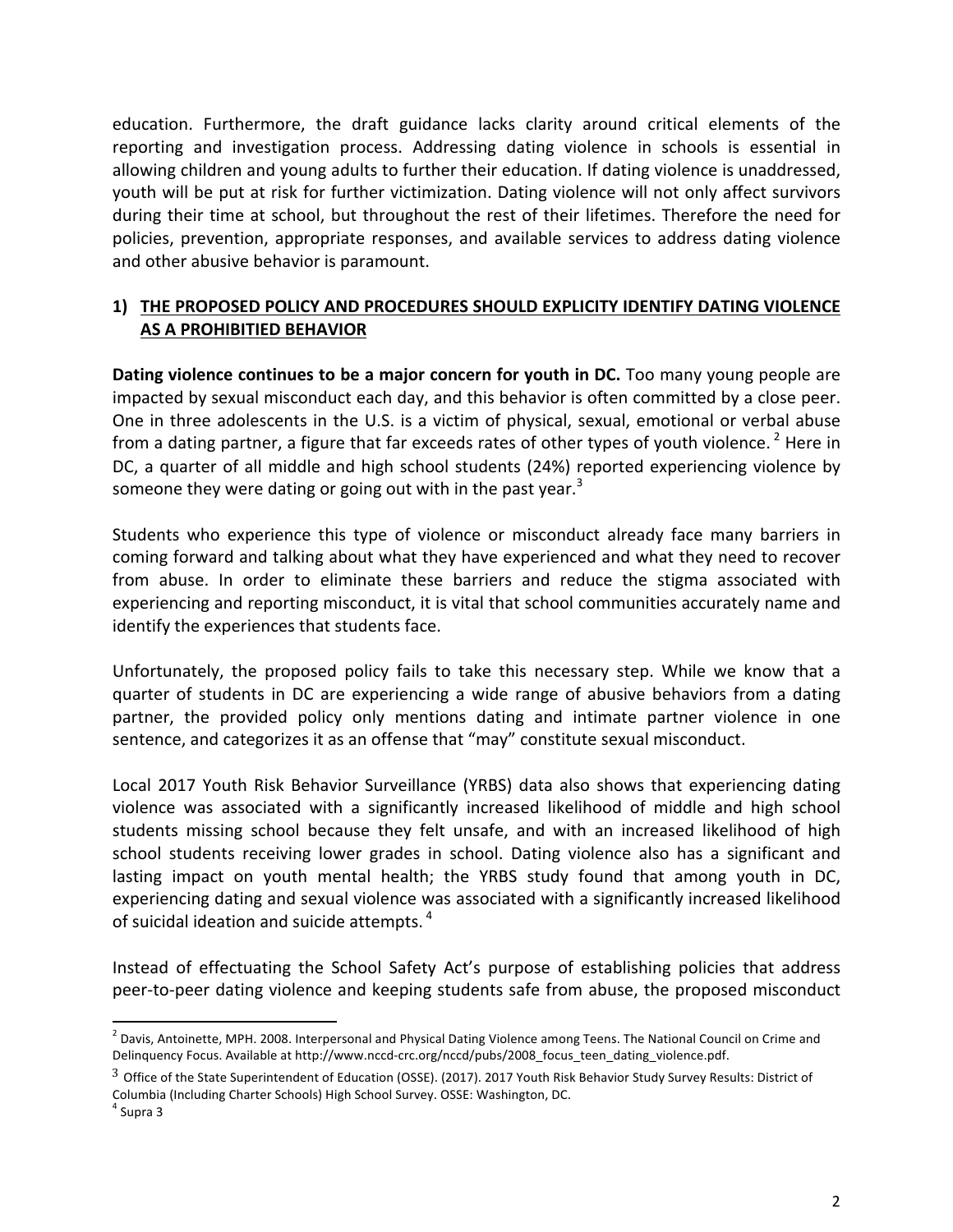education. Furthermore, the draft guidance lacks clarity around critical elements of the reporting and investigation process. Addressing dating violence in schools is essential in allowing children and young adults to further their education. If dating violence is unaddressed, youth will be put at risk for further victimization. Dating violence will not only affect survivors during their time at school, but throughout the rest of their lifetimes. Therefore the need for policies, prevention, appropriate responses, and available services to address dating violence and other abusive behavior is paramount.

## 1) THE PROPOSED POLICY AND PROCEDURES SHOULD EXPLICITY IDENTIFY DATING VIOLENCE **AS A PROHIBITIED BEHAVIOR**

**Dating violence continues to be a major concern for youth in DC.** Too many young people are impacted by sexual misconduct each day, and this behavior is often committed by a close peer. One in three adolescents in the U.S. is a victim of physical, sexual, emotional or verbal abuse from a dating partner, a figure that far exceeds rates of other types of youth violence.<sup>2</sup> Here in DC, a quarter of all middle and high school students (24%) reported experiencing violence by someone they were dating or going out with in the past year.<sup>3</sup>

Students who experience this type of violence or misconduct already face many barriers in coming forward and talking about what they have experienced and what they need to recover from abuse. In order to eliminate these barriers and reduce the stigma associated with experiencing and reporting misconduct, it is vital that school communities accurately name and identify the experiences that students face.

Unfortunately, the proposed policy fails to take this necessary step. While we know that a quarter of students in DC are experiencing a wide range of abusive behaviors from a dating partner, the provided policy only mentions dating and intimate partner violence in one sentence, and categorizes it as an offense that "may" constitute sexual misconduct.

Local 2017 Youth Risk Behavior Surveillance (YRBS) data also shows that experiencing dating violence was associated with a significantly increased likelihood of middle and high school students missing school because they felt unsafe, and with an increased likelihood of high school students receiving lower grades in school. Dating violence also has a significant and lasting impact on youth mental health; the YRBS study found that among youth in DC, experiencing dating and sexual violence was associated with a significantly increased likelihood of suicidal ideation and suicide attempts.<sup>4</sup>

Instead of effectuating the School Safety Act's purpose of establishing policies that address peer-to-peer dating violence and keeping students safe from abuse, the proposed misconduct

 $2$  Davis, Antoinette, MPH. 2008. Interpersonal and Physical Dating Violence among Teens. The National Council on Crime and Delinquency Focus. Available at http://www.nccd-crc.org/nccd/pubs/2008\_focus\_teen\_dating\_violence.pdf.

 $3$  Office of the State Superintendent of Education (OSSE). (2017). 2017 Youth Risk Behavior Study Survey Results: District of Columbia (Including Charter Schools) High School Survey. OSSE: Washington, DC.

 $<sup>4</sup>$  Supra 3</sup>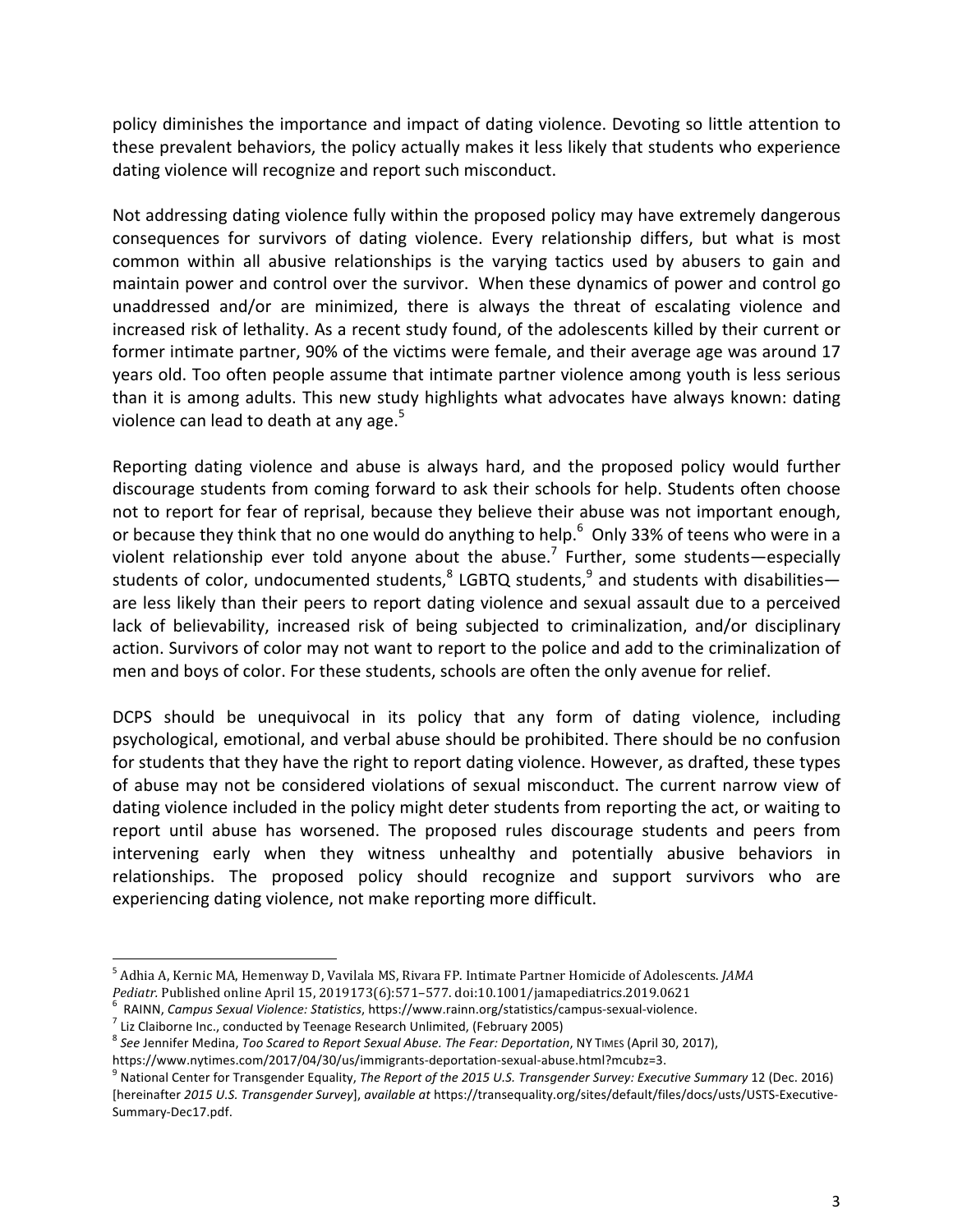policy diminishes the importance and impact of dating violence. Devoting so little attention to these prevalent behaviors, the policy actually makes it less likely that students who experience dating violence will recognize and report such misconduct.

Not addressing dating violence fully within the proposed policy may have extremely dangerous consequences for survivors of dating violence. Every relationship differs, but what is most common within all abusive relationships is the varying tactics used by abusers to gain and maintain power and control over the survivor. When these dynamics of power and control go unaddressed and/or are minimized, there is always the threat of escalating violence and increased risk of lethality. As a recent study found, of the adolescents killed by their current or former intimate partner, 90% of the victims were female, and their average age was around 17 years old. Too often people assume that intimate partner violence among youth is less serious than it is among adults. This new study highlights what advocates have always known: dating violence can lead to death at any age. $5$ 

Reporting dating violence and abuse is always hard, and the proposed policy would further discourage students from coming forward to ask their schools for help. Students often choose not to report for fear of reprisal, because they believe their abuse was not important enough, or because they think that no one would do anything to help.<sup>6</sup> Only 33% of teens who were in a violent relationship ever told anyone about the abuse.<sup>7</sup> Further, some students—especially students of color, undocumented students, $^8$  LGBTQ students, $^9$  and students with disabilities are less likely than their peers to report dating violence and sexual assault due to a perceived lack of believability, increased risk of being subjected to criminalization, and/or disciplinary action. Survivors of color may not want to report to the police and add to the criminalization of men and boys of color. For these students, schools are often the only avenue for relief.

DCPS should be unequivocal in its policy that any form of dating violence, including psychological, emotional, and verbal abuse should be prohibited. There should be no confusion for students that they have the right to report dating violence. However, as drafted, these types of abuse may not be considered violations of sexual misconduct. The current narrow view of dating violence included in the policy might deter students from reporting the act, or waiting to report until abuse has worsened. The proposed rules discourage students and peers from intervening early when they witness unhealthy and potentially abusive behaviors in relationships. The proposed policy should recognize and support survivors who are experiencing dating violence, not make reporting more difficult.

<sup>&</sup>lt;sup>5</sup> Adhia A, Kernic MA, Hemenway D, Vavilala MS, Rivara FP. Intimate Partner Homicide of Adolescents. *JAMA* 

Pediatr. Published online April 15, 2019173(6):571–577. doi:10.1001/jamapediatrics.2019.0621<br>
<sup>6</sup> RAINN, *Campus Sexual Violence: Statistics*, https://www.rainn.org/statistics/campus-sexual-violence.<br>
<sup>7</sup> Liz Claiborne In

<sup>&</sup>lt;sup>8</sup> See Jennifer Medina, *Too Scared to Report Sexual Abuse. The Fear: Deportation*, NY TIMES (April 30, 2017),

https://www.nytimes.com/2017/04/30/us/immigrants-deportation-sexual-abuse.html?mcubz=3.<br><sup>9</sup> National Center for Transgender Equality, *The Report of the 2015 U.S. Transgender Survey: Executive Summary* 12 (Dec. 2016) [hereinafter 2015 U.S. Transgender Survey], available at https://transequality.org/sites/default/files/docs/usts/USTS-Executive-Summary-Dec17.pdf.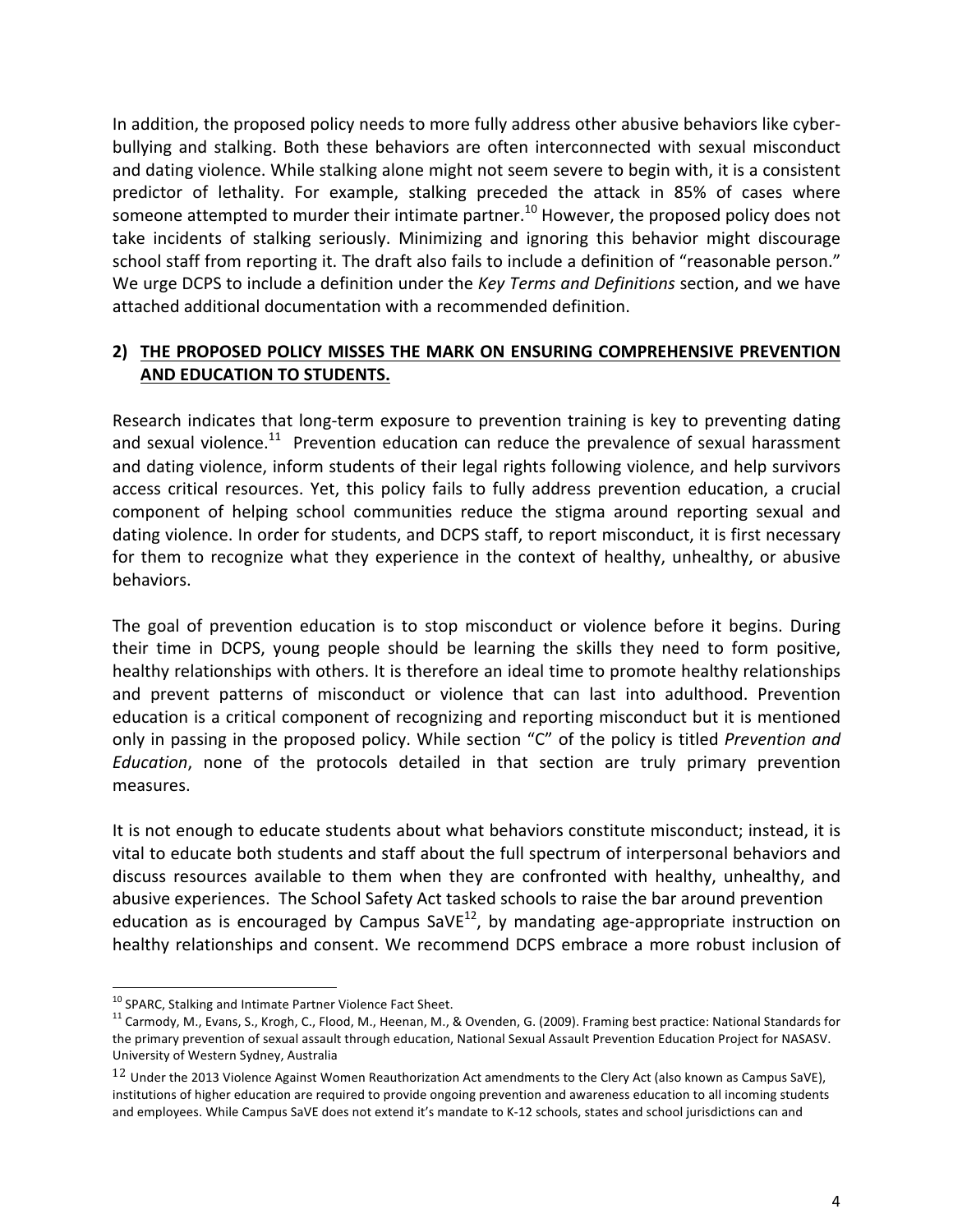In addition, the proposed policy needs to more fully address other abusive behaviors like cyberbullying and stalking. Both these behaviors are often interconnected with sexual misconduct and dating violence. While stalking alone might not seem severe to begin with, it is a consistent predictor of lethality. For example, stalking preceded the attack in 85% of cases where someone attempted to murder their intimate partner.<sup>10</sup> However, the proposed policy does not take incidents of stalking seriously. Minimizing and ignoring this behavior might discourage school staff from reporting it. The draft also fails to include a definition of "reasonable person." We urge DCPS to include a definition under the *Key Terms and Definitions* section, and we have attached additional documentation with a recommended definition.

## **2) THE PROPOSED POLICY MISSES THE MARK ON ENSURING COMPREHENSIVE PREVENTION AND EDUCATION TO STUDENTS.**

Research indicates that long-term exposure to prevention training is key to preventing dating and sexual violence.<sup>11</sup> Prevention education can reduce the prevalence of sexual harassment and dating violence, inform students of their legal rights following violence, and help survivors access critical resources. Yet, this policy fails to fully address prevention education, a crucial component of helping school communities reduce the stigma around reporting sexual and dating violence. In order for students, and DCPS staff, to report misconduct, it is first necessary for them to recognize what they experience in the context of healthy, unhealthy, or abusive behaviors. 

The goal of prevention education is to stop misconduct or violence before it begins. During their time in DCPS, young people should be learning the skills they need to form positive, healthy relationships with others. It is therefore an ideal time to promote healthy relationships and prevent patterns of misconduct or violence that can last into adulthood. Prevention education is a critical component of recognizing and reporting misconduct but it is mentioned only in passing in the proposed policy. While section "C" of the policy is titled *Prevention and Education*, none of the protocols detailed in that section are truly primary prevention measures.

It is not enough to educate students about what behaviors constitute misconduct; instead, it is vital to educate both students and staff about the full spectrum of interpersonal behaviors and discuss resources available to them when they are confronted with healthy, unhealthy, and abusive experiences. The School Safety Act tasked schools to raise the bar around prevention education as is encouraged by Campus  $SaVE^{12}$ , by mandating age-appropriate instruction on healthy relationships and consent. We recommend DCPS embrace a more robust inclusion of

<sup>&</sup>lt;sup>10</sup> SPARC, Stalking and Intimate Partner Violence Fact Sheet.<br><sup>11</sup> Carmody, M., Evans, S., Krogh, C., Flood, M., Heenan, M., & Ovenden, G. (2009). Framing best practice: National Standards for the primary prevention of sexual assault through education, National Sexual Assault Prevention Education Project for NASASV. University of Western Sydney, Australia

 $12$  Under the 2013 Violence Against Women Reauthorization Act amendments to the Clery Act (also known as Campus SaVE), institutions of higher education are required to provide ongoing prevention and awareness education to all incoming students and employees. While Campus SaVE does not extend it's mandate to K-12 schools, states and school jurisdictions can and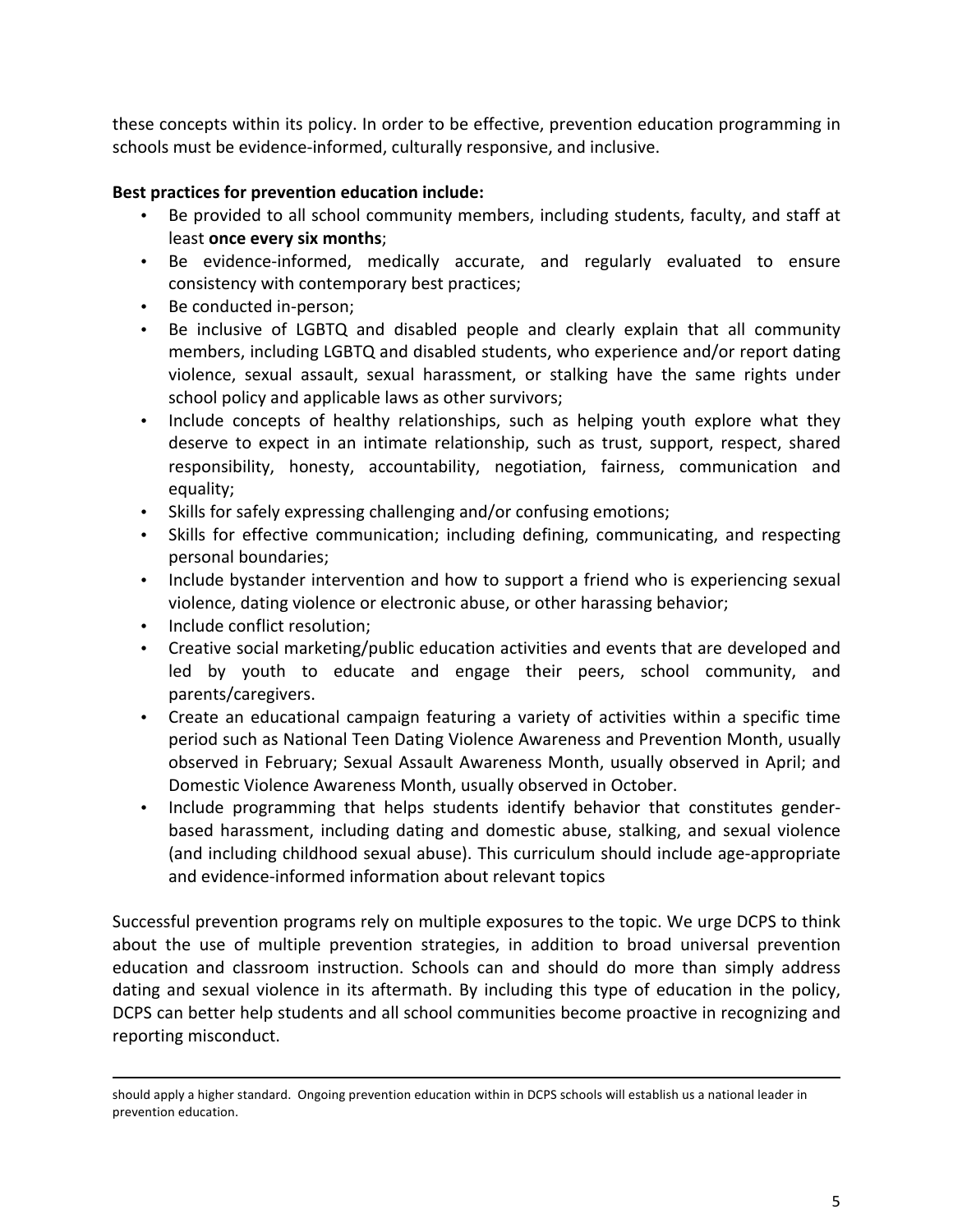these concepts within its policy. In order to be effective, prevention education programming in schools must be evidence-informed, culturally responsive, and inclusive.

## **Best practices for prevention education include:**

- Be provided to all school community members, including students, faculty, and staff at least once every six months;
- Be evidence-informed, medically accurate, and regularly evaluated to ensure consistency with contemporary best practices;
- Be conducted in-person;
- Be inclusive of LGBTQ and disabled people and clearly explain that all community members, including LGBTQ and disabled students, who experience and/or report dating violence, sexual assault, sexual harassment, or stalking have the same rights under school policy and applicable laws as other survivors;
- Include concepts of healthy relationships, such as helping youth explore what they deserve to expect in an intimate relationship, such as trust, support, respect, shared responsibility, honesty, accountability, negotiation, fairness, communication and equality;
- Skills for safely expressing challenging and/or confusing emotions;
- Skills for effective communication; including defining, communicating, and respecting personal boundaries;
- Include bystander intervention and how to support a friend who is experiencing sexual violence, dating violence or electronic abuse, or other harassing behavior;
- Include conflict resolution;
- Creative social marketing/public education activities and events that are developed and led by youth to educate and engage their peers, school community, and parents/caregivers.
- Create an educational campaign featuring a variety of activities within a specific time period such as National Teen Dating Violence Awareness and Prevention Month, usually observed in February; Sexual Assault Awareness Month, usually observed in April; and Domestic Violence Awareness Month, usually observed in October.
- Include programming that helps students identify behavior that constitutes genderbased harassment, including dating and domestic abuse, stalking, and sexual violence (and including childhood sexual abuse). This curriculum should include age-appropriate and evidence-informed information about relevant topics

Successful prevention programs rely on multiple exposures to the topic. We urge DCPS to think about the use of multiple prevention strategies, in addition to broad universal prevention education and classroom instruction. Schools can and should do more than simply address dating and sexual violence in its aftermath. By including this type of education in the policy, DCPS can better help students and all school communities become proactive in recognizing and reporting misconduct.

<u> 1989 - Johann Stoff, fransk politik (f. 1989)</u>

should apply a higher standard. Ongoing prevention education within in DCPS schools will establish us a national leader in prevention education.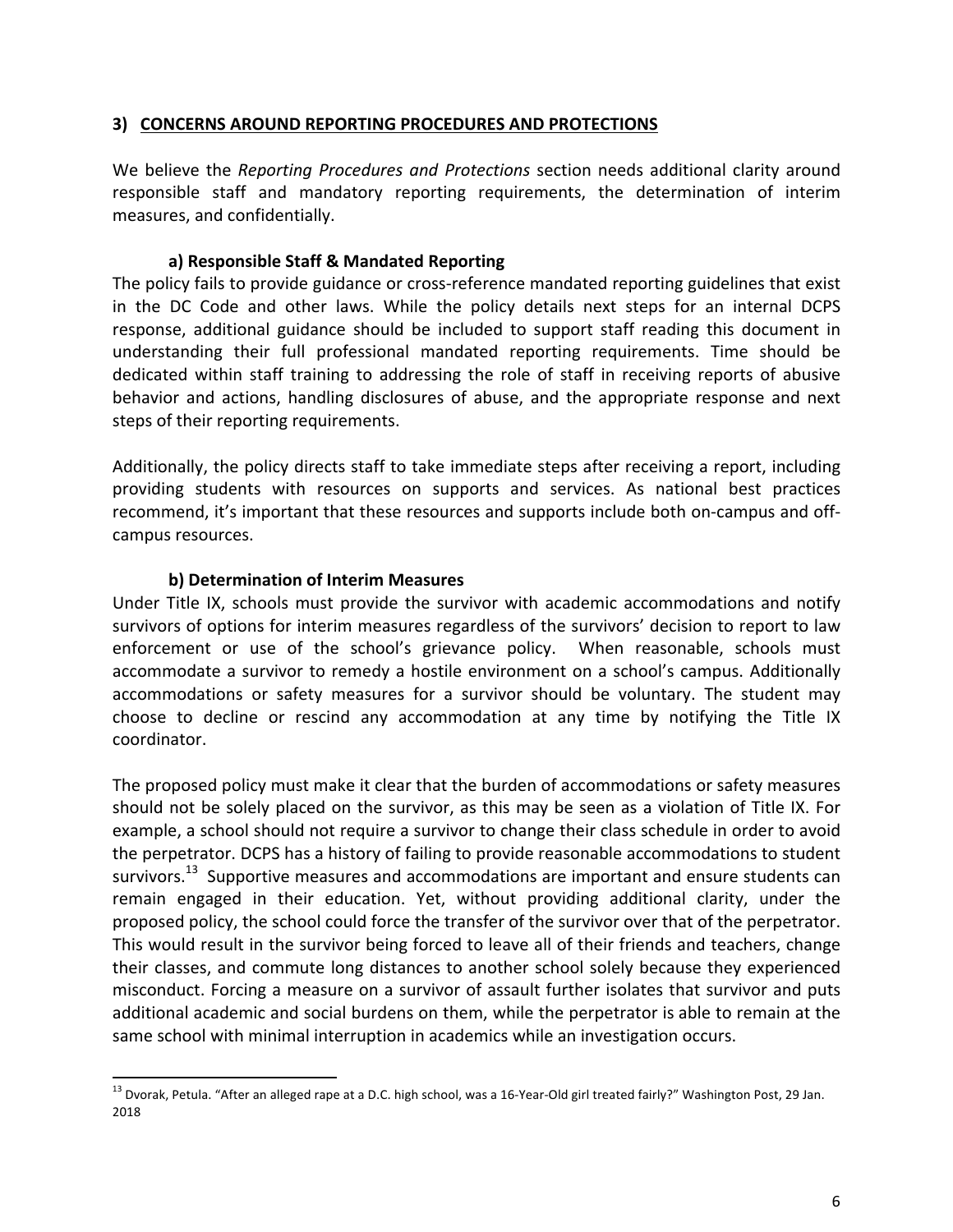#### **3) CONCERNS AROUND REPORTING PROCEDURES AND PROTECTIONS**

We believe the *Reporting Procedures and Protections* section needs additional clarity around responsible staff and mandatory reporting requirements, the determination of interim measures, and confidentially.

#### a) Responsible Staff & Mandated Reporting

The policy fails to provide guidance or cross-reference mandated reporting guidelines that exist in the DC Code and other laws. While the policy details next steps for an internal DCPS response, additional guidance should be included to support staff reading this document in understanding their full professional mandated reporting requirements. Time should be dedicated within staff training to addressing the role of staff in receiving reports of abusive behavior and actions, handling disclosures of abuse, and the appropriate response and next steps of their reporting requirements.

Additionally, the policy directs staff to take immediate steps after receiving a report, including providing students with resources on supports and services. As national best practices recommend, it's important that these resources and supports include both on-campus and offcampus resources.

#### **b) Determination of Interim Measures**

Under Title IX, schools must provide the survivor with academic accommodations and notify survivors of options for interim measures regardless of the survivors' decision to report to law enforcement or use of the school's grievance policy. When reasonable, schools must accommodate a survivor to remedy a hostile environment on a school's campus. Additionally accommodations or safety measures for a survivor should be voluntary. The student may choose to decline or rescind any accommodation at any time by notifying the Title IX coordinator.

The proposed policy must make it clear that the burden of accommodations or safety measures should not be solely placed on the survivor, as this may be seen as a violation of Title IX. For example, a school should not require a survivor to change their class schedule in order to avoid the perpetrator. DCPS has a history of failing to provide reasonable accommodations to student survivors.<sup>13</sup> Supportive measures and accommodations are important and ensure students can remain engaged in their education. Yet, without providing additional clarity, under the proposed policy, the school could force the transfer of the survivor over that of the perpetrator. This would result in the survivor being forced to leave all of their friends and teachers, change their classes, and commute long distances to another school solely because they experienced misconduct. Forcing a measure on a survivor of assault further isolates that survivor and puts additional academic and social burdens on them, while the perpetrator is able to remain at the same school with minimal interruption in academics while an investigation occurs.

<sup>&</sup>lt;sup>13</sup> Dvorak, Petula. "After an alleged rape at a D.C. high school, was a 16-Year-Old girl treated fairly?" Washington Post, 29 Jan. 2018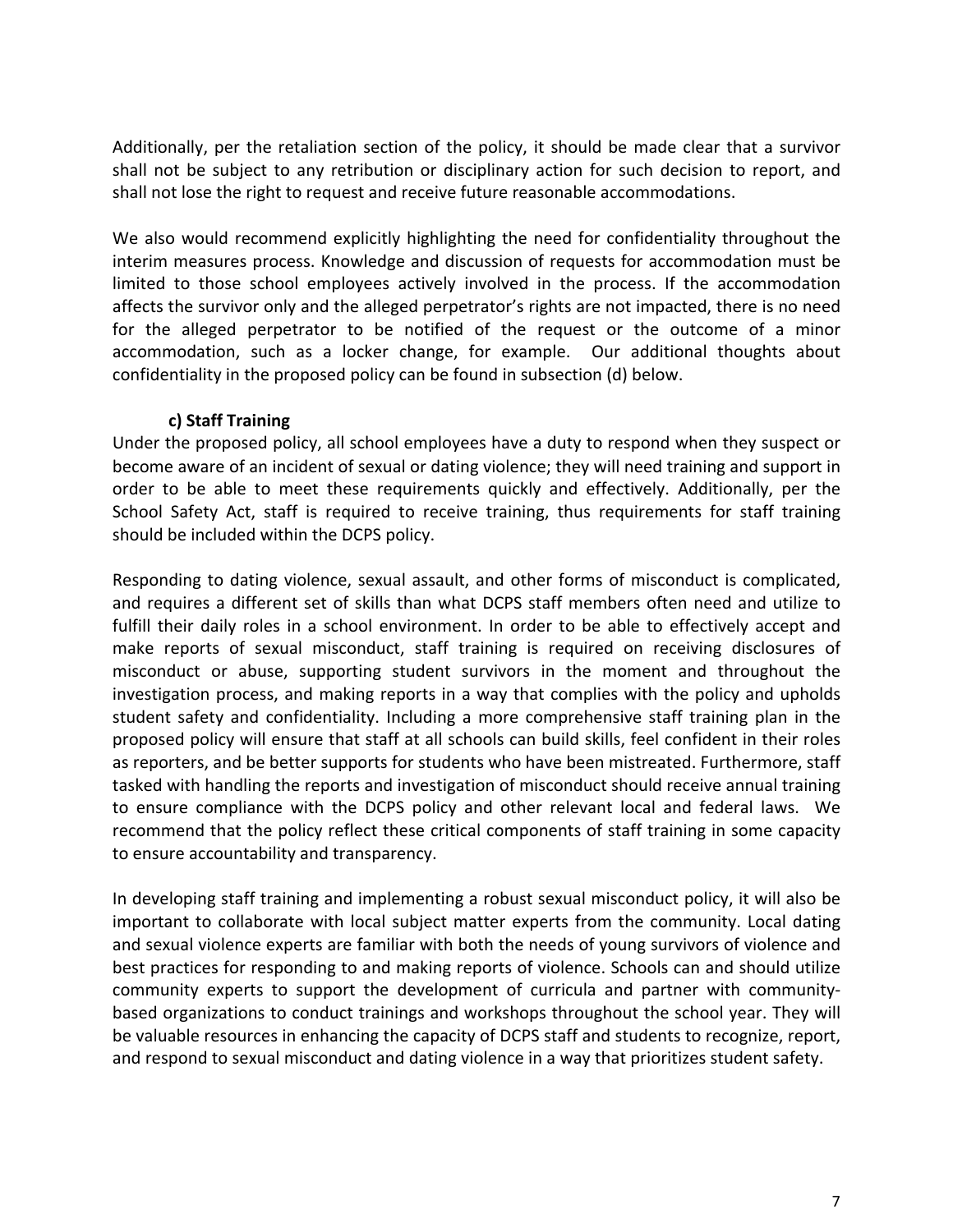Additionally, per the retaliation section of the policy, it should be made clear that a survivor shall not be subject to any retribution or disciplinary action for such decision to report, and shall not lose the right to request and receive future reasonable accommodations.

We also would recommend explicitly highlighting the need for confidentiality throughout the interim measures process. Knowledge and discussion of requests for accommodation must be limited to those school employees actively involved in the process. If the accommodation affects the survivor only and the alleged perpetrator's rights are not impacted, there is no need for the alleged perpetrator to be notified of the request or the outcome of a minor accommodation, such as a locker change, for example. Our additional thoughts about confidentiality in the proposed policy can be found in subsection (d) below.

### c) Staff Training

Under the proposed policy, all school employees have a duty to respond when they suspect or become aware of an incident of sexual or dating violence; they will need training and support in order to be able to meet these requirements quickly and effectively. Additionally, per the School Safety Act, staff is required to receive training, thus requirements for staff training should be included within the DCPS policy.

Responding to dating violence, sexual assault, and other forms of misconduct is complicated, and requires a different set of skills than what DCPS staff members often need and utilize to fulfill their daily roles in a school environment. In order to be able to effectively accept and make reports of sexual misconduct, staff training is required on receiving disclosures of misconduct or abuse, supporting student survivors in the moment and throughout the investigation process, and making reports in a way that complies with the policy and upholds student safety and confidentiality. Including a more comprehensive staff training plan in the proposed policy will ensure that staff at all schools can build skills, feel confident in their roles as reporters, and be better supports for students who have been mistreated. Furthermore, staff tasked with handling the reports and investigation of misconduct should receive annual training to ensure compliance with the DCPS policy and other relevant local and federal laws. We recommend that the policy reflect these critical components of staff training in some capacity to ensure accountability and transparency.

In developing staff training and implementing a robust sexual misconduct policy, it will also be important to collaborate with local subject matter experts from the community. Local dating and sexual violence experts are familiar with both the needs of young survivors of violence and best practices for responding to and making reports of violence. Schools can and should utilize community experts to support the development of curricula and partner with communitybased organizations to conduct trainings and workshops throughout the school year. They will be valuable resources in enhancing the capacity of DCPS staff and students to recognize, report, and respond to sexual misconduct and dating violence in a way that prioritizes student safety.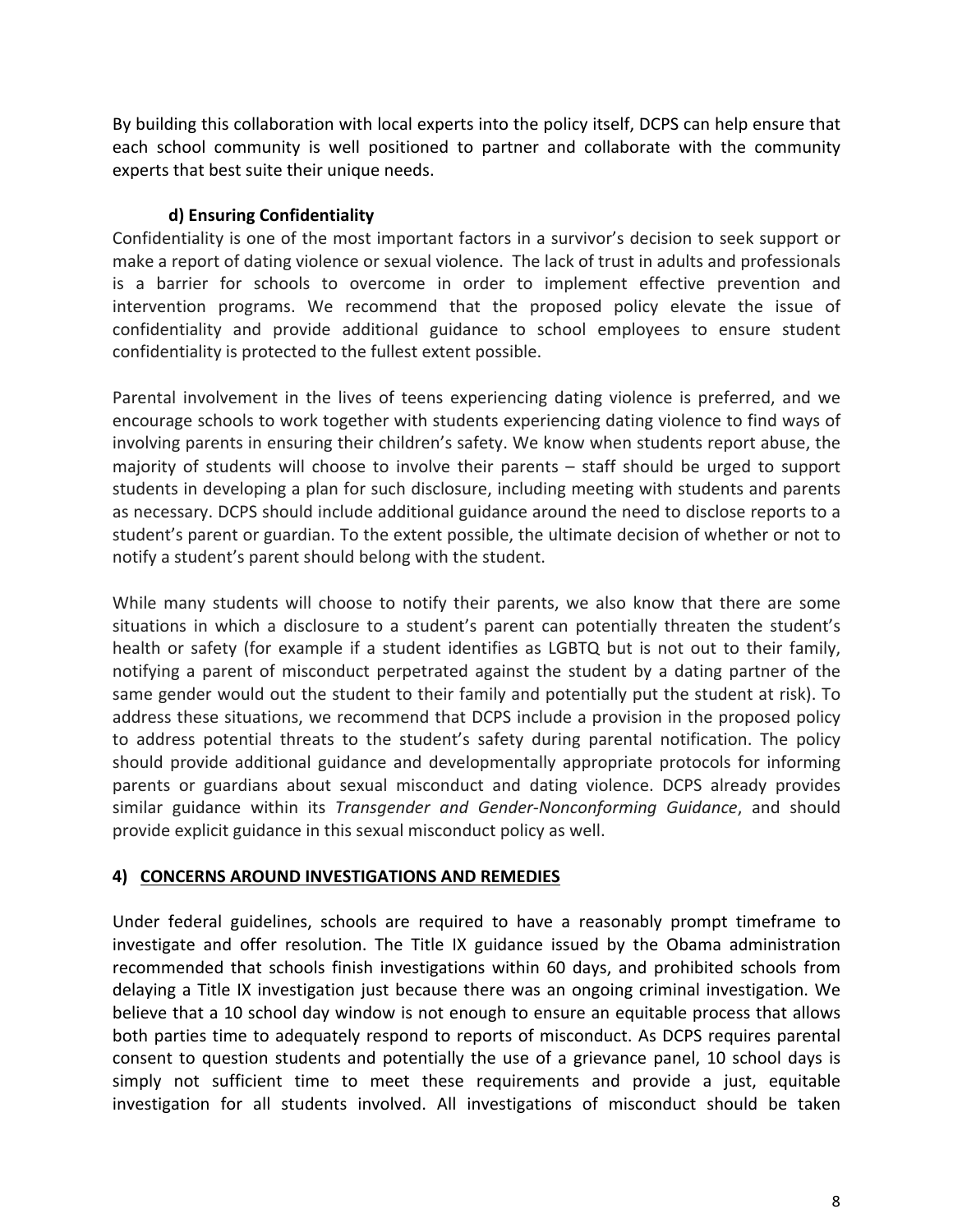By building this collaboration with local experts into the policy itself, DCPS can help ensure that each school community is well positioned to partner and collaborate with the community experts that best suite their unique needs.

# **d) Ensuring Confidentiality**

Confidentiality is one of the most important factors in a survivor's decision to seek support or make a report of dating violence or sexual violence. The lack of trust in adults and professionals is a barrier for schools to overcome in order to implement effective prevention and intervention programs. We recommend that the proposed policy elevate the issue of confidentiality and provide additional guidance to school employees to ensure student confidentiality is protected to the fullest extent possible.

Parental involvement in the lives of teens experiencing dating violence is preferred, and we encourage schools to work together with students experiencing dating violence to find ways of involving parents in ensuring their children's safety. We know when students report abuse, the majority of students will choose to involve their parents  $-$  staff should be urged to support students in developing a plan for such disclosure, including meeting with students and parents as necessary. DCPS should include additional guidance around the need to disclose reports to a student's parent or guardian. To the extent possible, the ultimate decision of whether or not to notify a student's parent should belong with the student.

While many students will choose to notify their parents, we also know that there are some situations in which a disclosure to a student's parent can potentially threaten the student's health or safety (for example if a student identifies as LGBTQ but is not out to their family, notifying a parent of misconduct perpetrated against the student by a dating partner of the same gender would out the student to their family and potentially put the student at risk). To address these situations, we recommend that DCPS include a provision in the proposed policy to address potential threats to the student's safety during parental notification. The policy should provide additional guidance and developmentally appropriate protocols for informing parents or guardians about sexual misconduct and dating violence. DCPS already provides similar guidance within its *Transgender and Gender-Nonconforming Guidance*, and should provide explicit guidance in this sexual misconduct policy as well.

# **4) CONCERNS AROUND INVESTIGATIONS AND REMEDIES**

Under federal guidelines, schools are required to have a reasonably prompt timeframe to investigate and offer resolution. The Title IX guidance issued by the Obama administration recommended that schools finish investigations within 60 days, and prohibited schools from delaying a Title IX investigation just because there was an ongoing criminal investigation. We believe that a 10 school day window is not enough to ensure an equitable process that allows both parties time to adequately respond to reports of misconduct. As DCPS requires parental consent to question students and potentially the use of a grievance panel, 10 school days is simply not sufficient time to meet these requirements and provide a just, equitable investigation for all students involved. All investigations of misconduct should be taken